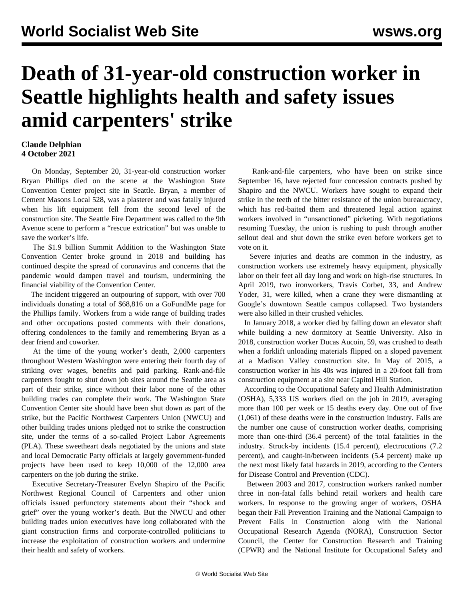## **Death of 31-year-old construction worker in Seattle highlights health and safety issues amid carpenters' strike**

## **Claude Delphian 4 October 2021**

 On Monday, September 20, 31-year-old construction worker Bryan Phillips died on the scene at the Washington State Convention Center project site in Seattle. Bryan, a member of Cement Masons Local 528, was a plasterer and was fatally injured when his lift equipment fell from the second level of the construction site. The Seattle Fire Department was called to the 9th Avenue scene to perform a "rescue extrication" but was unable to save the worker's life.

 The \$1.9 billion Summit Addition to the Washington State Convention Center broke ground in 2018 and building has continued despite the spread of coronavirus and concerns that the pandemic would dampen travel and tourism, undermining the financial viability of the Convention Center.

 The incident triggered an outpouring of support, with over 700 individuals donating a total of \$68,816 on a [GoFundMe page](https://www.gofundme.com/f/help-for-bryan-phillips-family) for the Phillips family. Workers from a wide range of building trades and other occupations posted comments with their donations, offering condolences to the family and remembering Bryan as a dear friend and coworker.

 At the time of the young worker's death, 2,000 carpenters throughout Western Washington were entering their fourth day of striking over wages, benefits and paid parking. Rank-and-file carpenters fought to shut down job sites around the Seattle area as part of their strike, since without their labor none of the other building trades can complete their work. The Washington State Convention Center site should have been shut down as part of the strike, but the Pacific Northwest Carpenters Union (NWCU) and other building trades unions pledged not to strike the construction site, under the terms of a so-called Project Labor Agreements (PLA). These sweetheart deals negotiated by the unions and state and local Democratic Party officials at largely government-funded projects have been used to keep 10,000 of the 12,000 area carpenters on the job during the strike.

 Executive Secretary-Treasurer Evelyn Shapiro of the Pacific Northwest Regional Council of Carpenters and other union officials issued perfunctory statements about their "shock and grief" over the young worker's death. But the NWCU and other building trades union executives have long collaborated with the giant construction firms and corporate-controlled politicians to increase the exploitation of construction workers and undermine their health and safety of workers.

 Rank-and-file carpenters, who have been on strike since September 16, have rejected four concession contracts pushed by Shapiro and the NWCU. Workers have sought to expand their strike in the teeth of the bitter resistance of the union bureaucracy, which has red-baited them and threatened legal action against workers involved in "unsanctioned" picketing. With negotiations resuming Tuesday, the union is rushing to push through another sellout deal and shut down the strike even before workers get to vote on it.

 Severe injuries and deaths are common in the industry, as construction workers use extremely heavy equipment, physically labor on their feet all day long and work on high-rise structures. In April 2019, two ironworkers, Travis Corbet, 33, and Andrew Yoder, 31, were killed, when a crane they were dismantling at Google's downtown Seattle campus collapsed. Two bystanders were also killed in their crushed vehicles.

 In January 2018, a worker died by falling down an elevator shaft while building a new dormitory at Seattle University. Also in 2018, construction worker Ducas Aucoin, 59, was crushed to death when a forklift unloading materials flipped on a sloped pavement at a Madison Valley construction site. In May of 2015, a construction worker in his 40s was injured in a 20-foot fall from construction equipment at a site near Capitol Hill Station.

 According to the Occupational Safety and Health Administration (OSHA), 5,333 US workers died on the job in 2019, averaging more than 100 per week or 15 deaths every day. One out of five (1,061) of these deaths were in the construction industry. Falls are the number one cause of construction worker deaths, comprising more than one-third (36.4 percent) of the total fatalities in the industry. Struck-by incidents (15.4 percent), electrocutions (7.2 percent), and caught-in/between incidents (5.4 percent) make up the next most likely fatal hazards in 2019, according to the Centers for Disease Control and Prevention (CDC).

 Between 2003 and 2017, construction workers ranked number three in non-fatal falls behind retail workers and health care workers. In response to the growing anger of workers, OSHA began their Fall Prevention Training and the National Campaign to Prevent Falls in Construction along with the National Occupational Research Agenda (NORA), Construction Sector Council, the Center for Construction Research and Training (CPWR) and the National Institute for Occupational Safety and